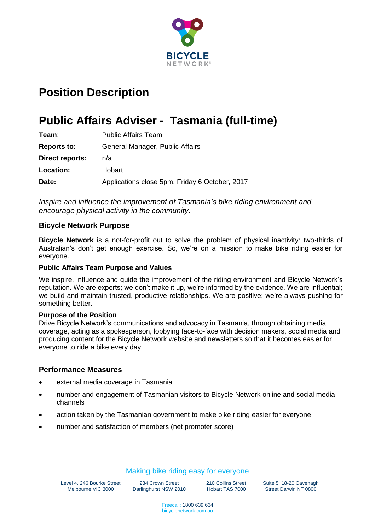

# **Position Description**

# **Public Affairs Adviser - Tasmania (full-time)**

| Team:              | <b>Public Affairs Team</b>                     |
|--------------------|------------------------------------------------|
| <b>Reports to:</b> | General Manager, Public Affairs                |
| Direct reports:    | n/a                                            |
| <b>Location:</b>   | Hobart                                         |
| Date:              | Applications close 5pm, Friday 6 October, 2017 |

*Inspire and influence the improvement of Tasmania's bike riding environment and encourage physical activity in the community.*

#### **Bicycle Network Purpose**

**Bicycle Network** is a not-for-profit out to solve the problem of physical inactivity: two-thirds of Australian's don't get enough exercise. So, we're on a mission to make bike riding easier for everyone.

#### **Public Affairs Team Purpose and Values**

We inspire, influence and guide the improvement of the riding environment and Bicycle Network's reputation. We are experts; we don't make it up, we're informed by the evidence. We are influential; we build and maintain trusted, productive relationships. We are positive; we're always pushing for something better.

#### **Purpose of the Position**

Drive Bicycle Network's communications and advocacy in Tasmania, through obtaining media coverage, acting as a spokesperson, lobbying face-to-face with decision makers, social media and producing content for the Bicycle Network website and newsletters so that it becomes easier for everyone to ride a bike every day.

#### **Performance Measures**

- external media coverage in Tasmania
- number and engagement of Tasmanian visitors to Bicycle Network online and social media channels
- action taken by the Tasmanian government to make bike riding easier for everyone
- number and satisfaction of members (net promoter score)

## Making bike riding easy for everyone

Level 4, 246 Bourke Street Melbourne VIC 3000

234 Crown Street Darlinghurst NSW 2010 210 Collins Street Hobart TAS 7000 Suite 5, 18-20 Cavenagh Street Darwin NT 0800

Freecall: 1800 639 634 bicyclenetwork.com.au